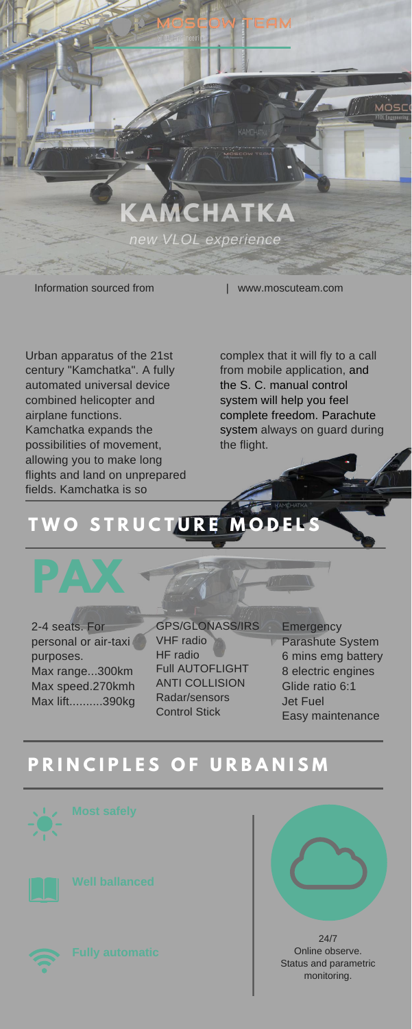IL Engineer

**KAMCHATKA**

*new VLOL experience*

Information sourced from  $\blacksquare$  www.moscuteam.com

Urban apparatus of the 21st century "Kamchatka". A fully automated universal device combined helicopter and airplane functions. Kamchatka expands the possibilities of movement, allowing you to make long flights and land on unprepared fields. Kamchatka is so

> **Emergency** Parashute System 6 mins emg battery 8 electric engines Glide ratio 6:1 Jet Fuel Easy maintenance

2-4 seats. For personal or air-taxi purposes. Max range...300km Max speed.270kmh Max lift..........390kg

complex that it will fly to a call from mobile application, and the S. C. manual control system will help you feel complete freedom. Parachute system always on guard during the flight.

GPS/GLONASS/IRS VHF radio HF radio Full AUTOFLIGHT ANTI COLLISION Radar/sensors Control Stick

# **T W O S T R U C T U R E M O D E L S**

## **P R I N C I P L E S O F U R B A N I S M**









24/7 Online observe. Status and parametric monitoring.